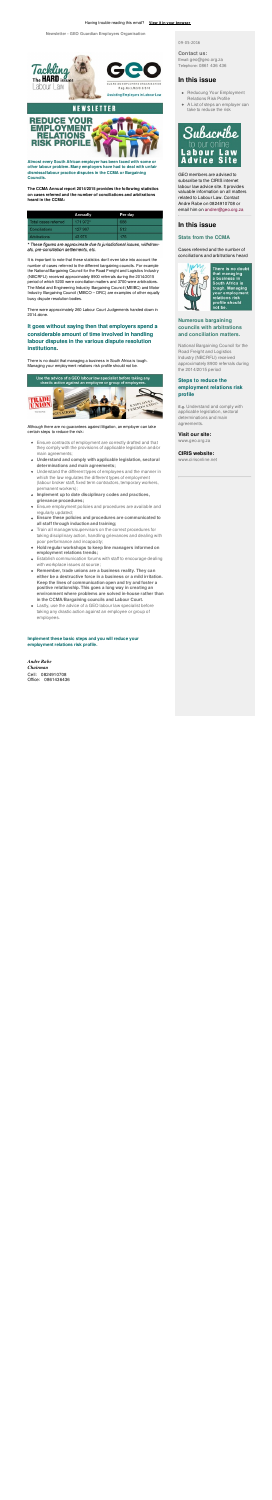

 $\overline{11}$ 



Reg. No: LR2/6/3/316

Assisting Employers in Labour Law

## NEWSLETTER



**Almost every South African employer has been faced with some or other labour problem. Many employers have had to deal with unfair dismissal/labour practice disputes in the CCMA or Bargaining Councils.**

**The CCMA Annual report 2014/2015 provides the following statistics on cases referred and the number of conciliations and arbitrations heard in the CCMA:**

|                      | Annually | Per day |  |
|----------------------|----------|---------|--|
| Total cases referred | 171 972* | 688     |  |
| Conciliations        | 127 997  | 512     |  |
| Arbitrations         | 43 975   | 176     |  |

\* These figures are approximate due to jurisdictional issues, withdrawals, pre-conciliation settlements, etc.

It is important to note that these statistics don't even take into account the number of cases referred to the different bargaining councils. For example the National Bargaining Council for the Road Freight and Logistics Industry (NBCRFLI) received approximately 8900 referrals during the 2014/2015 period of which 5200 were conciliation matters and 3700 were arbitrations. The Metal and Engineering Industry Bargaining Council (MEIBC) and Motor Industry Bargaining Council (MIBCO – DRC) are examples of other equally busy dispute resolution bodies.

There were approximately 260 Labour Court Judgements handed down in 2014 alone.

## **It goes without saying then that employers spend a considerable amount of time involved in handling labour disputes in the various dispute resolution institutions.**

There is no doubt that managing a business in South Africa is tough. Managing your employment relations risk profile should not be.



Although there are no guarantees against litigation, an employer can take certain steps to reduce the risk:

- Reducung Your Employment Relations Risk Profile
- A List of steps an employer can take to reduce the risk



- Ensure contracts of employment are correctly drafted and that they comply with the provisions of applicable legislation and/or main agreements;
- **Understand and comply with applicable legislation, sectoral determinations and main agreements;**
- Understand the different types of employees and the manner in which the law regulates the different types of employment (labour broker staff, fixed term contractors, temporary workers, permanent workers);
- **Implement up to date disciplinary codes and practices, grievance procedures;**
- Ensure employment policies and procedures are available and regularly updated;
- **Ensure these policies and procedures are communicated to all staff through induction and training;**
- Train all managers/supervisors on the correct procedures for taking disciplinary action, handling grievances and dealing with poor performance and incapacity;
- **Hold regular workshops to keep line managers informed on employment relations trends;**
- Establish communication forums with staff to encourage dealing with workplace issues at source;
- **Remember, trade unions are a business reality. They can either be a destructive force in a business or a mild irritation. Keep the lines of communication open and try and foster a positive relationship. This goes a long way in creating an environment where problems are solved in-house rather than in the CCMA/Bargaining councils and Labour Court.**
- Lastly, use the advice of a GEO labour law specialist before taking any drastic action against an employee or group of employees.

**Implement these basic steps and you will reduce your employment relations risk profile.**

#### *Andre Rabe*

*Chairman* Cell: 0824910708 Office: 0861436436 09-05-2016

#### **Contact us:**

Email: geo@geo.org.za Telephone: 0861 436 436

### **In this issue**

GEO members are advised to subscribe to the CIRIS internet labour law advice site. It provides valuable information on all matters related to Labour Law. Contact Andre Rabe on 0824910708 or email him on andrer@geo.org.za

## **In this issue**

#### **Stats from the CCMA**

Cases referred and the number of conciliations and arbitrations heard



There is no doubt that managing a business in South Africa is tough. Managing your employment relations risk profile should not be.

#### **Numerous bargaining councils with arbitrations and conciliation matters.**

National Bargaining Council for the Road Freight and Logistics Industry (NBCRFLI) received approximately 8900 referrals during the 2014/2015 period

#### **Steps to reduce the employment relations risk profile**

**E.g.** Understand and comply with applicable legislation, sectoral determinations and main agreements.

#### **Visit our site:**

www.geo.org.za

#### **CIRIS website:**

www.cirisonline.net